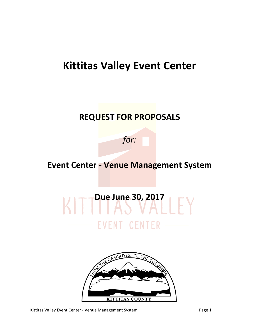# **Kittitas Valley Event Center**

# **REQUEST FOR PROPOSALS**

*for:*

# **Event Center - Venue Management System**

# KITT<sup>Due June 30, 2017<br>KITT HAS VALLEY</sup> **EVENT CENTER**



Kittitas Valley Event Center - Venue Management System **Page 1** Page 1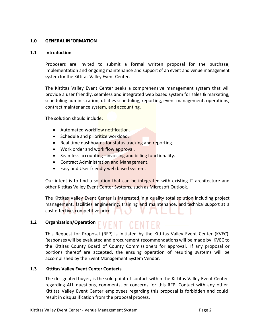#### **1.0 GENERAL INFORMATION**

#### **1.1 Introduction**

Proposers are invited to submit a formal written proposal for the purchase, implementation and ongoing maintenance and support of an event and venue management system for the Kittitas Valley Event Center.

The Kittitas Valley Event Center seeks a comprehensive management system that will provide a user friendly, seamless and integrated web based system for sales & marketing, scheduling administration, utilities scheduling, reporting, event management, operations, contract maintenance system, and accounting.

The solution should include:

- Automated workflow notification.
- Schedule and prioritize workload.
- Real time dashboards for status tracking and reporting.
- Work order and work flow approval.
- Seamless accounting –invoicing and billing functionality.
- **Contract Administration and Management.**
- **Easy and User friendly web based system.**

Our intent is to find a solution that can be integrated with existing IT architecture and other Kittitas Valley Event Center Systems, such as Microsoft Outlook.

The Kittitas Valley Event Center is interested in a quality total solution including project management, facilities engineering, training and maintenance, and technical support at a cost effective, competitive price.

# 1.2 **Organization/Operation** EVENT CENTER

This Request for Proposal (RFP) is initiated by the Kittitas Valley Event Center (KVEC). Responses will be evaluated and procurement recommendations will be made by KVEC to the Kittitas County Board of County Commissioners for approval. If any proposal or portions thereof are accepted, the ensuing operation of resulting systems will be accomplished by the Event Management System Vendor.

### **1.3 Kittitas Valley Event Center Contacts**

The designated buyer, is the sole point of contact within the Kittitas Valley Event Center regarding ALL questions, comments, or concerns for this RFP. Contact with any other Kittitas Valley Event Center employees regarding this proposal is forbidden and could result in disqualification from the proposal process.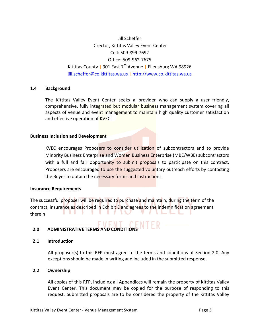Jill Scheffer Director, Kittitas Valley Event Center Cell: 509-899-7692 Office: 509-962-7675 Kittitas County | 901 East 7<sup>th</sup> Avenue | Ellensburg WA 98926 [jill.scheffer@co.kittitas.wa.us](mailto:jill.scheffer@co.kittitas.wa.us) | [http://www.co.kittitas.wa.us](http://www.co.kittitas.wa.us/)

#### **1.4 Background**

The Kittitas Valley Event Center seeks a provider who can supply a user friendly, comprehensive, fully integrated but modular business management system covering all aspects of venue and event management to maintain high quality customer satisfaction and effective operation of KVEC.

#### **Business Inclusion and Development**

KVEC encourages Proposers to consider utilization of subcontractors and to provide Minority Business Enterprise and Women Business Enterprise (MBE/WBE) subcontractors with a full and fair opportunity to submit proposals to participate on this contract. Proposers are encouraged to use the suggested voluntary outreach efforts by contacting the Buyer to obtain the necessary forms and instructions.

#### **Insurance Requirements**

The successful proposer will be required to purchase and maintain, during the term of the contract, insurance as described in Exhibit E and agrees to the indemnification agreement therein

# **2.0 ADMINISTRATIVE TERMS AND CONDITIONS**

#### **2.1 Introduction**

All proposer(s) to this RFP must agree to the terms and conditions of Section 2.0. Any exceptions should be made in writing and included in the submitted response.

### **2.2 Ownership**

All copies of this RFP, including all Appendices will remain the property of Kittitas Valley Event Center. This document may be copied for the purpose of responding to this request. Submitted proposals are to be considered the property of the Kittitas Valley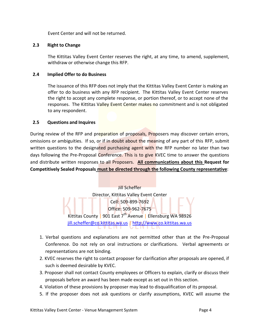Event Center and will not be returned.

# **2.3 Right to Change**

The Kittitas Valley Event Center reserves the right, at any time, to amend, supplement, withdraw or otherwise change this RFP.

# **2.4 Implied Offer to do Business**

The issuance of this RFP does not imply that the Kittitas Valley Event Center is making an offer to do business with any RFP recipient. The Kittitas Valley Event Center reserves the right to accept any complete response, or portion thereof, or to accept none of the responses. The Kittitas Valley Event Center makes no commitment and is not obligated to any respondent.

# **2.5 Questions and Inquires**

During review of the RFP and preparation of proposals, Proposers may discover certain errors, omissions or ambiguities. If so, or if in doubt about the meaning of any part of this RFP, submit written questions to the designated purchasing agent with the RFP number no later than two days following the Pre-Proposal Conference. This is to give KVEC time to answer the questions and distribute written responses to all Proposers. **All communications about this Request for Competitively Sealed Proposals must be directed through the following County representative**:



- 1. Verbal questions and explanations are not permitted other than at the Pre-Proposal Conference. Do not rely on oral instructions or clarifications. Verbal agreements or representations are not binding.
- 2. KVEC reserves the right to contact proposer for clarification after proposals are opened, if such is deemed desirable by KVEC.
- 3. Proposer shall not contact County employees or Officers to explain, clarify or discuss their proposals before an award has been made except as set out in this section.
- 4. Violation of these provisions by proposer may lead to disqualification of its proposal.
- 5. If the proposer does not ask questions or clarify assumptions, KVEC will assume the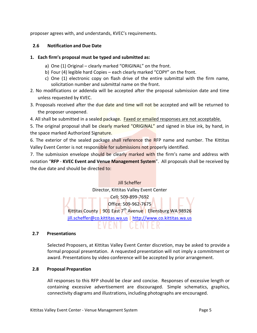proposer agrees with, and understands, KVEC's requirements.

# **2.6 Notification and Due Date**

# **1. Each firm's proposal must be typed and submitted as:**

- a) One (1) Original clearly marked "ORIGINAL" on the front.
- b) Four (4) legible hard Copies each clearly marked "COPY" on the front.
- c) One (1) electronic copy on flash drive of the entire submittal with the firm name, solicitation number and submittal name on the front.
- 2. No modifications or addenda will be accepted after the proposal submission date and time unless requested by KVEC.
- 3. Proposals received after the due date and time will not be accepted and will be returned to the proposer unopened.
- 4. All shall be submitted in a sealed package. Faxed or emailed responses are not acceptable.

5. The original proposal shall be clearly marked "ORIGINAL" and signed in blue ink, by hand, in the space marked Authorized Signature.

6. The exterior of the sealed package shall reference the RFP name and number. The Kittitas Valley Event Center is not responsible for submissions not properly identified.

7. The submission envelope should be clearly marked with the firm's name and address with notation "**RFP** - **KVEC Event and Venue Management System**". All proposals shall be received by the due date and should be directed to:

> Jill Scheffer Director, Kittitas Valley Event Center Cell: 509-899-7692 Office: 509-962-7675 Kittitas County | 901 East 7<sup>th</sup> Avenue | Ellensburg WA 98926 [jill.scheffer@co.kittitas.wa.us](mailto:jill.scheffer@co.kittitas.wa.us) | [http://www.co.kittitas.wa.us](http://www.co.kittitas.wa.us/)

# **2.7 Presentations**

Selected Proposers, at Kittitas Valley Event Center discretion, may be asked to provide a formal proposal presentation. A requested presentation will not imply a commitment or award. Presentations by video conference will be accepted by prior arrangement.

# **2.8 Proposal Preparation**

All responses to this RFP should be clear and concise. Responses of excessive length or containing excessive advertisement are discouraged. Simple schematics, graphics, connectivity diagrams and illustrations, including photographs are encouraged.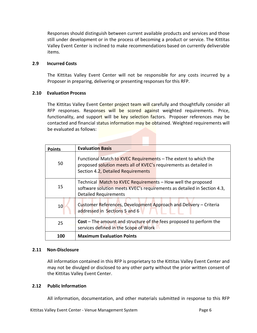Responses should distinguish between current available products and services and those still under development or in the process of becoming a product or service. The Kittitas Valley Event Center is inclined to make recommendations based on currently deliverable items.

#### **2.9 Incurred Costs**

The Kittitas Valley Event Center will not be responsible for any costs incurred by a Proposer in preparing, delivering or presenting responsesfor this RFP.

#### **2.10 Evaluation Process**

The Kittitas Valley Event Center project team will carefully and thoughtfully consider all RFP responses. Responses will be scored against weighted requirements. Price, functionality, and support will be key selection factors. Proposer references may be contacted and financial status information may be obtained. Weighted requirements will be evaluated as follows:

| <b>Points</b> | <b>Evaluation Basis</b>                                                                                                                                                    |
|---------------|----------------------------------------------------------------------------------------------------------------------------------------------------------------------------|
| 50            | Functional Match to KVEC Requirements - The extent to which the<br>proposed solution meets all of KVEC's requirements as detailed in<br>Section 4.2, Detailed Requirements |
| 15            | Technical Match to KVEC Requirements - How well the proposed<br>software solution meets KVEC's requirements as detailed in Section 4.3,<br><b>Detailed Requirements</b>    |
| 10            | Customer References, Development Approach and Delivery – Criteria<br>addressed in Sections 5 and 6                                                                         |
| 25            | <b>Cost</b> – The amount and structure of the fees proposed to perform the<br>services defined in the Scope of Work                                                        |
| 100           | <b>Maximum Evaluation Points</b>                                                                                                                                           |

### **2.11 Non-Disclosure**

All information contained in this RFP is proprietary to the Kittitas Valley Event Center and may not be divulged or disclosed to any other party without the prior written consent of the Kittitas Valley Event Center.

#### **2.12 Public Information**

All information, documentation, and other materials submitted in response to this RFP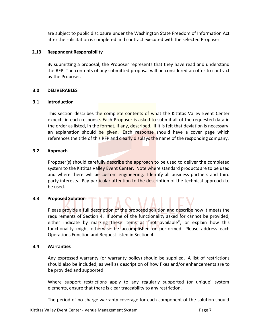are subject to public disclosure under the Washington State Freedom of Information Act after the solicitation is completed and contract executed with the selected Proposer.

# **2.13 Respondent Responsibility**

By submitting a proposal, the Proposer represents that they have read and understand the RFP. The contents of any submitted proposal will be considered an offer to contract by the Proposer.

# **3.0 DELIVERABLES**

# **3.1 Introduction**

This section describes the complete contents of what the Kittitas Valley Event Center expects in each response. Each Proposer is asked to submit all of the requested data in the order as listed, in the format, if any, described. If it is felt that deviation is necessary, an explanation should be given. Each response should have a cover page which references the title of this RFP and clearly displays the name of the responding company.

# **3.2 Approach**

Proposer(s) should carefully describe the approach to be used to deliver the completed system to the Kittitas Valley Event Center. Note where standard products are to be used and where there will be custom engineering. Identify all business partners and third party interests. Pay particular attention to the description of the technical approach to be used.

# **3.3 Proposed Solution**

Please provide a full description of the proposed solution and describe how it meets the requirements of Section 4. If some of the functionality asked for cannot be provided, either indicate by marking these items as "not available", or explain how this functionality might otherwise be accomplished or performed. Please address each Operations Function and Request listed in Section 4.

### **3.4 Warranties**

Any expressed warranty (or warranty policy) should be supplied. A list of restrictions should also be included, as well as description of how fixes and/or enhancements are to be provided and supported.

Where support restrictions apply to any regularly supported (or unique) system elements, ensure that there is clear traceability to any restriction.

The period of no-charge warranty coverage for each component of the solution should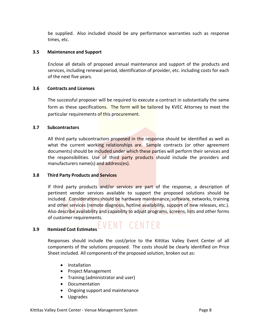be supplied. Also included should be any performance warranties such as response times, etc.

### **3.5 Maintenance and Support**

Enclose all details of proposed annual maintenance and support of the products and services, including renewal period, identification of provider, etc. including costs for each of the next five years.

#### **3.6 Contracts and Licenses**

The successful proposer will be required to execute a contract in substantially the same form as these specifications. The form will be tailored by KVEC Attorney to meet the particular requirements of this procurement.

#### **3.7 Subcontractors**

All third party subcontractors proposed in the response should be identified as well as what the current working relationships are. Sample contracts (or other agreement documents) should be included under which these parties will perform their services and the responsibilities. Use of third party products should include the providers and manufacturers name(s) and address(es).

### **3.8 Third Party Products and Services**

If third party products and/or services are part of the response, a description of pertinent vendor services available to support the proposed solutions should be included. Considerations should be hardware maintenance, software, networks, training and other services (remote diagnosis, hotline availability, support of new releases, etc.). Also describe availability and capability to adjust programs, screens, lists and other forms of customer requirements.

# **3.9 Itemized Cost Estimates**

Responses should include the cost/price to the Kittitas Valley Event Center of all components of the solutions proposed. The costs should be clearly identified on Price Sheet included. All components of the proposed solution, broken out as:

- Installation
- Project Management
- Training (administrator and user)
- Documentation
- Ongoing support and maintenance
- Upgrades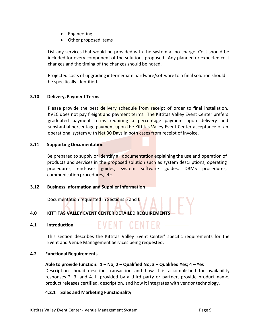- Engineering
- Other proposed items

List any services that would be provided with the system at no charge. Cost should be included for every component of the solutions proposed. Any planned or expected cost changes and the timing of the changes should be noted.

Projected costs of upgrading intermediate hardware/software to a final solution should be specifically identified.

# **3.10 Delivery, Payment Terms**

Please provide the best delivery schedule from receipt of order to final installation. KVEC does not pay freight and payment terms. The Kittitas Valley Event Center prefers graduated payment terms requiring a percentage payment upon delivery and substantial percentage payment upon the Kittitas Valley Event Center acceptance of an operational system with Net 30 Days in both cases from receipt of invoice.

### **3.11 Supporting Documentation**

Be prepared to supply or identify all documentation explaining the use and operation of products and services in the proposed solution such as system descriptions, operating procedures, end-user guides, system software guides, DBMS procedures, communication procedures, etc.

# **3.12 Business Information and Supplier Information**

Documentation requested in Sections 5 and 6.

# **4.0 KITTITAS VALLEY EVENT CENTER DETAILED REQUIREMENTS**

### **4.1 Introduction**

This section describes the Kittitas Valley Event Center' specific requirements for the Event and Venue Management Services being requested.

EVENT CENTER

### **4.2 Functional Requirements**

# **Able to provide function: 1 – No; 2 – Qualified No; 3 – Qualified Yes; 4 – Yes** Description should describe transaction and how it is accomplished for availability responses 2, 3, and 4. If provided by a third party or partner, provide product name, product releases certified, description, and how it integrates with vendor technology.

### **4.2.1 Sales and Marketing Functionality**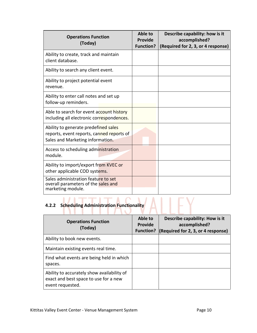| <b>Operations Function</b><br>(Today)                                                                                 | Able to<br><b>Provide</b><br><b>Function?</b> | Describe capability: how is it<br>accomplished?<br>(Required for 2, 3, or 4 response) |
|-----------------------------------------------------------------------------------------------------------------------|-----------------------------------------------|---------------------------------------------------------------------------------------|
| Ability to create, track and maintain<br>client database.                                                             |                                               |                                                                                       |
| Ability to search any client event.                                                                                   |                                               |                                                                                       |
| Ability to project potential event<br>revenue.                                                                        |                                               |                                                                                       |
| Ability to enter call notes and set up<br>follow-up reminders.                                                        |                                               |                                                                                       |
| Able to search for event account history<br>including all electronic correspondences.                                 |                                               |                                                                                       |
| Ability to generate predefined sales<br>reports, event reports, canned reports of<br>Sales and Marketing information. |                                               |                                                                                       |
| Access to scheduling administration<br>module.                                                                        |                                               |                                                                                       |
| Ability to import/export from KVEC or<br>other applicable COD systems.                                                |                                               |                                                                                       |
| Sales administration feature to set<br>overall parameters of the sales and<br>marketing module.                       |                                               |                                                                                       |

# **4.2.2** Scheduling Administration Functionality

| <b>Operations Function</b><br>(Today)                                                                   | Able to<br><b>Provide</b><br><b>Function?</b> | Describe capability: How is it<br>accomplished?<br>(Required for 2, 3, or 4 response) |
|---------------------------------------------------------------------------------------------------------|-----------------------------------------------|---------------------------------------------------------------------------------------|
| Ability to book new events.                                                                             |                                               |                                                                                       |
| Maintain existing events real time.                                                                     |                                               |                                                                                       |
| Find what events are being held in which<br>spaces.                                                     |                                               |                                                                                       |
| Ability to accurately show availability of<br>exact and best space to use for a new<br>event requested. |                                               |                                                                                       |

FY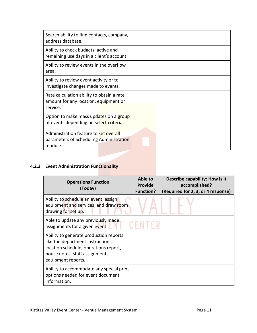| Search ability to find contacts, company,<br>address database.                                 |  |
|------------------------------------------------------------------------------------------------|--|
| Ability to check budgets, active and<br>remaining use days in a client's account.              |  |
| Ability to review events in the overflow<br>area.                                              |  |
| Ability to review event activity or to<br>investigate changes made to events.                  |  |
| Rate calculation ability to obtain a rate<br>amount for any location, equipment or<br>service. |  |
| Option to make mass updates on a group<br>of events depending on select criteria.              |  |
| Administration feature to set overall<br>parameters of Scheduling Administration<br>module.    |  |

# **4.2.3 Event Administration Functionality**

| <b>Operations Function</b><br>(Today)                                                                                                                                         | Able to<br><b>Provide</b><br><b>Function?</b> | Describe capability: How is it<br>accomplished?<br>(Required for 2, 3, or 4 response) |
|-------------------------------------------------------------------------------------------------------------------------------------------------------------------------------|-----------------------------------------------|---------------------------------------------------------------------------------------|
| Ability to schedule an event, assign<br>equipment and services, and draw room<br>drawing for set up.                                                                          |                                               |                                                                                       |
| Able to update any previously made<br>assignments for a given event.                                                                                                          |                                               |                                                                                       |
| Ability to generate production reports<br>like the department instructions,<br>location schedule, operations report,<br>house notes, staff assignments,<br>equipment reports. |                                               |                                                                                       |
| Ability to accommodate any special print<br>options needed for event document<br>information.                                                                                 |                                               |                                                                                       |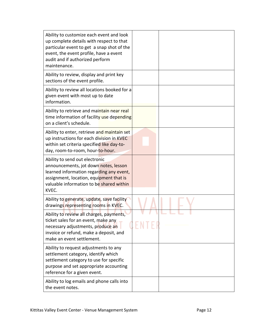| Ability to customize each event and look<br>up complete details with respect to that<br>particular event to get a snap shot of the<br>event, the event profile, have a event<br>audit and if authorized perform<br>maintenance. |  |
|---------------------------------------------------------------------------------------------------------------------------------------------------------------------------------------------------------------------------------|--|
| Ability to review, display and print key<br>sections of the event profile.                                                                                                                                                      |  |
| Ability to review all locations booked for a<br>given event with most up to date<br>information.                                                                                                                                |  |
| Ability to retrieve and maintain near real<br>time information of facility use depending<br>on a client's schedule.                                                                                                             |  |
| Ability to enter, retrieve and maintain set<br>up instructions for each division in KVEC<br>within set criteria specified like day-to-<br>day, room-to-room, hour-to-hour.                                                      |  |
| Ability to send out electronic<br>announcements, jot down notes, lesson<br>learned information regarding any event,<br>assignment, location, equipment that is<br>valuable information to be shared within<br>KVEC.             |  |
| Ability to generate, update, save facility<br>drawings representing rooms in KVEC.                                                                                                                                              |  |
| Ability to review all charges, payments,<br>ticket sales for an event, make any<br>necessary adjustments, produce an<br>invoice or refund, make a deposit, and<br>make an event settlement.                                     |  |
| Ability to request adjustments to any<br>settlement category, identify which<br>settlement category to use for specific<br>purpose and set appropriate accounting<br>reference for a given event.                               |  |
| Ability to log emails and phone calls into<br>the event notes.                                                                                                                                                                  |  |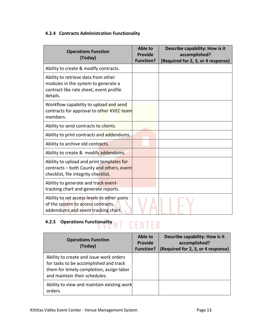# **4.2.4 Contracts Administration Functionality**

| <b>Operations Function</b><br>(Today)                                                                                             | Able to<br><b>Provide</b><br><b>Function?</b> | Describe capability: How is it<br>accomplished?<br>(Required for 2, 3, or 4 response) |
|-----------------------------------------------------------------------------------------------------------------------------------|-----------------------------------------------|---------------------------------------------------------------------------------------|
| Ability to create & modify contracts.                                                                                             |                                               |                                                                                       |
| Ability to retrieve data from other<br>modules in the system to generate a<br>contract like rate sheet, event profile<br>details. |                                               |                                                                                       |
| Workflow capability to upload and send<br>contracts for approval to other KVEC team<br>members.                                   |                                               |                                                                                       |
| Ability to send contracts to clients.                                                                                             |                                               |                                                                                       |
| Ability to print contracts and addendums.                                                                                         |                                               |                                                                                       |
| Ability to archive old contracts.                                                                                                 |                                               |                                                                                       |
| Ability to create & modify addendums                                                                                              |                                               |                                                                                       |
| Ability to upload and print templates for<br>contracts - both County and others, event<br>checklist, file integrity checklist.    |                                               |                                                                                       |
| Ability to generate and track event-<br>tracking chart and generate reports.                                                      |                                               |                                                                                       |
| Ability to set access levels to other users<br>of the system to access contracts,<br>addendums and event tracking chart.          |                                               |                                                                                       |

# **4.2.5 Operations Functionality NT CENTER**

| <b>Operations Function</b><br>(Today)                                                                                                                          | Able to<br><b>Provide</b><br><b>Function?</b> | Describe capability: How is it<br>accomplished?<br>(Required for 2, 3, or 4 response) |
|----------------------------------------------------------------------------------------------------------------------------------------------------------------|-----------------------------------------------|---------------------------------------------------------------------------------------|
| Ability to create and issue work orders<br>for tasks to be accomplished and track<br>them for timely completion, assign labor<br>and maintain their schedules. |                                               |                                                                                       |
| Ability to view and maintain existing work<br>orders.                                                                                                          |                                               |                                                                                       |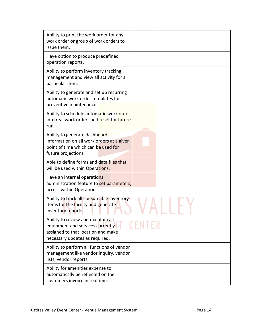| Ability to print the work order for any<br>work order or group of work orders to<br>issue them.                                                |  |
|------------------------------------------------------------------------------------------------------------------------------------------------|--|
| Have option to produce predefined<br>operation reports.                                                                                        |  |
| Ability to perform inventory tracking<br>management and view all activity for a<br>particular item.                                            |  |
| Ability to generate and set up recurring<br>automatic work order templates for<br>preventive maintenance.                                      |  |
| Ability to schedule automatic work order<br>into real work orders and reset for future<br>run.                                                 |  |
| Ability to generate dashboard<br>information on all work orders at a given<br>point of time which can be used for<br>future projections.       |  |
| Able to define forms and data files that<br>will be used within Operations.                                                                    |  |
| Have an internal operations<br>administration feature to set parameters,<br>access within Operations.                                          |  |
| Ability to track all consumable inventory<br>items for the facility and generate<br>inventory reports.                                         |  |
| Ability to review and maintain all<br>equipment and services currently<br>assigned to that location and make<br>necessary updates as required. |  |
| Ability to perform all functions of vendor<br>management like vendor inquiry, vendor<br>lists, vendor reports.                                 |  |
| Ability for amenities expense to<br>automatically be reflected on the<br>customers invoice in realtime.                                        |  |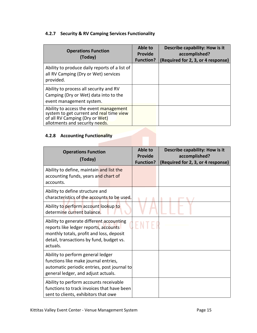# **4.2.7 Security & RV Camping Services Functionality**

| <b>Operations Function</b><br>(Today)                                                                                                                  | Able to<br><b>Provide</b><br><b>Function?</b> | Describe capability: How is it<br>accomplished?<br>(Required for 2, 3, or 4 response) |
|--------------------------------------------------------------------------------------------------------------------------------------------------------|-----------------------------------------------|---------------------------------------------------------------------------------------|
| Ability to produce daily reports of a list of<br>all RV Camping (Dry or Wet) services<br>provided.                                                     |                                               |                                                                                       |
| Ability to process all security and RV<br>Camping (Dry or Wet) data into to the<br>event management system.                                            |                                               |                                                                                       |
| Ability to access the event management<br>system to get current and real time view<br>of all RV Camping (Dry or Wet)<br>allotments and security needs. |                                               |                                                                                       |

# **4.2.8 Accounting Functionality**

| <b>Operations Function</b><br>(Today)                                                                                                                                                 | Able to<br><b>Provide</b><br><b>Function?</b> | Describe capability: How is it<br>accomplished?<br>(Required for 2, 3, or 4 response) |
|---------------------------------------------------------------------------------------------------------------------------------------------------------------------------------------|-----------------------------------------------|---------------------------------------------------------------------------------------|
| Ability to define, maintain and list the<br>accounting funds, years and chart of<br>accounts.                                                                                         |                                               |                                                                                       |
| Ability to define structure and<br>characteristics of the accounts to be used.                                                                                                        |                                               |                                                                                       |
| Ability to perform account lookup to<br>determine current balance.                                                                                                                    |                                               |                                                                                       |
| Ability to generate different accounting<br>reports like ledger reports, accounts<br>monthly totals, profit and loss, deposit<br>detail, transactions by fund, budget vs.<br>actuals. |                                               |                                                                                       |
| Ability to perform general ledger<br>functions like make journal entries,<br>automatic periodic entries, post journal to<br>general ledger, and adjust actuals.                       |                                               |                                                                                       |
| Ability to perform accounts receivable<br>functions to track invoices that have been<br>sent to clients, exhibitors that owe                                                          |                                               |                                                                                       |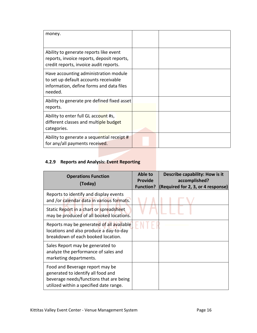| money.                                                                                                                                |  |
|---------------------------------------------------------------------------------------------------------------------------------------|--|
| Ability to generate reports like event<br>reports, invoice reports, deposit reports,<br>credit reports, invoice audit reports.        |  |
| Have accounting administration module<br>to set up default accounts receivable<br>information, define forms and data files<br>needed. |  |
| Ability to generate pre defined fixed asset<br>reports.                                                                               |  |
| Ability to enter full GL account #s,<br>different classes and multiple budget<br>categories.                                          |  |
| Ability to generate a sequential receipt #<br>for any/all payments received.                                                          |  |

# **4.2.9 Reports and Analysis: Event Reporting**

| <b>Operations Function</b><br>(Today)                                                                                                                       | Able to<br><b>Provide</b><br><b>Function?</b> | Describe capability: How is it<br>accomplished?<br>(Required for 2, 3, or 4 response) |
|-------------------------------------------------------------------------------------------------------------------------------------------------------------|-----------------------------------------------|---------------------------------------------------------------------------------------|
| Reports to identify and display events<br>and /or calendar data in various formats.                                                                         |                                               |                                                                                       |
| Static Report in a chart or spreadsheet<br>may be produced of all booked locations.                                                                         |                                               |                                                                                       |
| Reports may be generated of all available<br>locations and also produce a day-to-day<br>breakdown of each booked location.                                  |                                               |                                                                                       |
| Sales Report may be generated to<br>analyze the performance of sales and<br>marketing departments.                                                          |                                               |                                                                                       |
| Food and Beverage report may be<br>generated to identify all food and<br>beverage needs/functions that are being<br>utilized within a specified date range. |                                               |                                                                                       |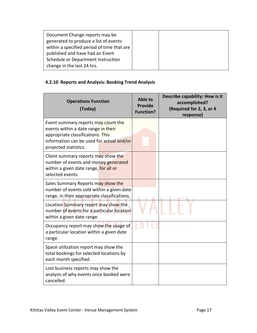| Document Change reports may be             |  |  |
|--------------------------------------------|--|--|
| generated to produce a list of events      |  |  |
| within a specified period of time that are |  |  |
| published and have had an Event            |  |  |
| Schedule or Department Instruction         |  |  |
| change in the last 24 hrs.                 |  |  |

# **4.2.10 Reports and Analysis: Booking Trend Analysis**

| <b>Operations Function</b><br>(Today)                                                                                                                                                 | Able to<br><b>Provide</b><br><b>Function?</b> | Describe capability: How is it<br>accomplished?<br>(Required for 2, 3, or 4<br>response) |
|---------------------------------------------------------------------------------------------------------------------------------------------------------------------------------------|-----------------------------------------------|------------------------------------------------------------------------------------------|
| Event summary reports may count the<br>events within a date range in their<br>appropriate classifications. This<br>information can be used for actual and/or<br>projected statistics. |                                               |                                                                                          |
| Client summary reports may show the<br>number of events and money generated<br>within a given date range, for all or<br>selected events.                                              |                                               |                                                                                          |
| Sales Summary Reports may show the<br>number of events sold within a given date<br>range, in their appropriate classifications.                                                       |                                               |                                                                                          |
| Location Summary report may show the<br>number of events for a particular location<br>within a given date range.                                                                      |                                               |                                                                                          |
| Occupancy report may show the usage of<br>a particular location within a given date<br>range.                                                                                         |                                               |                                                                                          |
| Space utilization report may show the<br>total bookings for selected locations by<br>each month specified.                                                                            |                                               |                                                                                          |
| Lost business reports may show the<br>analysis of why events once booked were<br>cancelled.                                                                                           |                                               |                                                                                          |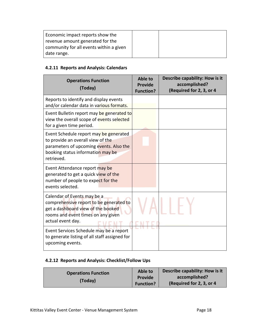| Economic impact reports show the        |  |
|-----------------------------------------|--|
| revenue amount generated for the        |  |
| community for all events within a given |  |
| date range.                             |  |

# **4.2.11 Reports and Analysis: Calendars**

| <b>Operations Function</b><br>(Today)                                                                                                                                     | Able to<br><b>Provide</b><br><b>Function?</b> | Describe capability: How is it<br>accomplished?<br>(Required for 2, 3, or 4 |
|---------------------------------------------------------------------------------------------------------------------------------------------------------------------------|-----------------------------------------------|-----------------------------------------------------------------------------|
| Reports to identify and display events<br>and/or calendar data in various formats.                                                                                        |                                               |                                                                             |
| Event Bulletin report may be generated to<br>view the overall scope of events selected<br>for a given time period.                                                        |                                               |                                                                             |
| Event Schedule report may be generated<br>to provide an overall view of the<br>parameters of upcoming events. Also the<br>booking status information may be<br>retrieved. |                                               |                                                                             |
| Event Attendance report may be<br>generated to get a quick view of the<br>number of people to expect for the<br>events selected.                                          |                                               |                                                                             |
| Calendar of Events may be a<br>comprehensive report to be generated to<br>get a dashboard view of the booked<br>rooms and event times on any given<br>actual event day.   |                                               |                                                                             |
| Event Services Schedule may be a report<br>to generate listing of all staff assigned for<br>upcoming events.                                                              |                                               |                                                                             |

# **4.2.12 Reports and Analysis: Checklist/Follow Ups**

| <b>Operations Function</b><br>(Today) | Able to<br>Provide<br><b>Function?</b> | Describe capability: How is it<br>accomplished?<br>(Required for 2, 3, or 4) |
|---------------------------------------|----------------------------------------|------------------------------------------------------------------------------|
|                                       |                                        |                                                                              |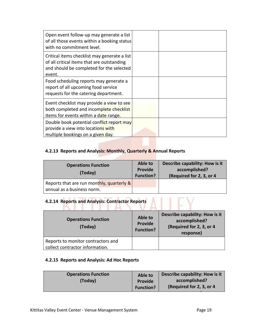| Open event follow-up may generate a list<br>of all those events within a booking status<br>with no commitment level.                             |  |
|--------------------------------------------------------------------------------------------------------------------------------------------------|--|
| Critical items checklist may generate a list<br>of all critical items that are outstanding<br>and should be completed for the selected<br>event. |  |
| Food scheduling reports may generate a<br>report of all upcoming food service<br>requests for the catering department.                           |  |
| Event checklist may provide a view to see<br>both completed and incomplete checklist<br>items for events within a date range.                    |  |
| Double book potential conflict report may<br>provide a view into locations with<br>multiple bookings on a given day.                             |  |

# **4.2.13 Reports and Analysis: Monthly, Quarterly & Annual Reports**

| <b>Operations Function</b><br>(Today)          | Able to<br>Provide<br><b>Function?</b> | Describe capability: How is it<br>accomplished?<br>(Required for 2, 3, or 4) |
|------------------------------------------------|----------------------------------------|------------------------------------------------------------------------------|
| Reports that are run monthly, quarterly $\&\ $ |                                        |                                                                              |
| annual as a business norm.                     |                                        |                                                                              |

# **4.2.14 Reports and Analysis: Contractor Reports**

| <b>Operations Function</b><br>(Today)                                 | Able to<br><b>Provide</b><br><b>Function?</b> | Describe capability: How is it<br>accomplished?<br>(Required for 2, 3, or 4<br>response) |
|-----------------------------------------------------------------------|-----------------------------------------------|------------------------------------------------------------------------------------------|
| Reports to monitor contractors and<br>collect contractor information. |                                               |                                                                                          |

# **4.2.15 Reports and Analysis: Ad Hoc Reports**

|  | <b>Operations Function</b><br>(Today) | Able to<br>Provide<br><b>Function?</b> | Describe capability: How is it<br>accomplished?<br>(Required for 2, 3, or 4) |
|--|---------------------------------------|----------------------------------------|------------------------------------------------------------------------------|
|--|---------------------------------------|----------------------------------------|------------------------------------------------------------------------------|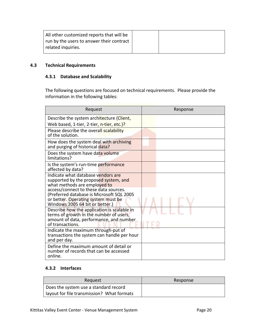| All other customized reports that will be<br>I run by the users to answer their contract<br>related inquiries. |  |
|----------------------------------------------------------------------------------------------------------------|--|
|                                                                                                                |  |

# **4.3 Technical Requirements**

# **4.3.1 Database and Scalability**

The following questions are focused on technical requirements. Please provide the information in the following tables:

| Request                                                                                                                                                      | Response |
|--------------------------------------------------------------------------------------------------------------------------------------------------------------|----------|
| Describe the system architecture (Client,<br>Web based, 1-tier, 2-tier, n-tier, etc.)?                                                                       |          |
| Please describe the overall scalability<br>of the solution.                                                                                                  |          |
| How does the system deal with archiving<br>and purging of historical data?                                                                                   |          |
| Does the system have data volume<br>limitations?                                                                                                             |          |
| Is the system's run-time performance<br>affected by data?                                                                                                    |          |
| Indicate what database vendors are<br>supported by the proposed system, and<br>what methods are employed to                                                  |          |
| access/connect to these data sources.<br>(Preferred database is Microsoft SQL 2005<br>or better. Operating system must be<br>Windows 2005 64 bit or better.) |          |
| Describe how the application is scalable in<br>terms of growth in the number of users,<br>amount of data, performance, and number<br>of transactions.        |          |
| Indicate the maximum through-put of<br>transactions the system can handle per hour<br>and per day.                                                           |          |
| Define the maximum amount of detail or<br>number of records that can be accessed<br>online.                                                                  |          |

# **4.3.2 Interfaces**

| Request                                    | Response |
|--------------------------------------------|----------|
| Does the system use a standard record      |          |
| layout for file transmission? What formats |          |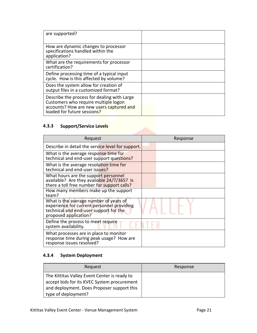| are supported?                                                                                                                                                 |  |
|----------------------------------------------------------------------------------------------------------------------------------------------------------------|--|
| How are dynamic changes to processor<br>specifications handled within the<br>application?                                                                      |  |
| What are the requirements for processor<br>certification?                                                                                                      |  |
| Define processing time of a typical input<br>cycle. How is this affected by volume?                                                                            |  |
| Does the system allow for creation of<br>output files in a customized format?                                                                                  |  |
| Describe the process for dealing with Large<br>Customers who require multiple logon<br>accounts? How are new users captured and<br>loaded for future sessions? |  |

# **4.3.3 Support/Service Levels**

| Request                                                                                                                                                 | Response |
|---------------------------------------------------------------------------------------------------------------------------------------------------------|----------|
| Describe in detail the service level for support.                                                                                                       |          |
| What is the average response time for<br>technical and end-user support questions?                                                                      |          |
| What is the average resolution time for<br>technical and end-user issues?                                                                               |          |
| What hours are the support personnel<br>available? Are they available 24/7/365? Is<br>there a toll free number for support calls?                       |          |
| How many members make up the support<br>team?                                                                                                           |          |
| What is the average number of years of<br>experience for current personnel providing<br>technical and end-user support for the<br>proposed application? |          |
| Define the process to meet require<br>system availability.                                                                                              |          |
| What processes are in place to monitor<br>response time during peak usage? How are<br>response issues resolved?                                         |          |

# **4.3.4 System Deployment**

| Request                                                                                                                                                          | Response |
|------------------------------------------------------------------------------------------------------------------------------------------------------------------|----------|
| The Kittitas Valley Event Center is ready to<br>accept bids for its KVEC System procurement<br>and deployment. Does Proposer support this<br>type of deployment? |          |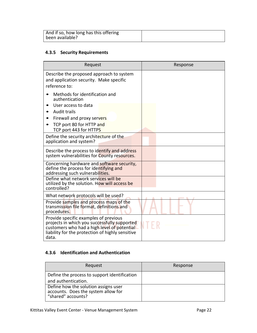# **4.3.5 Security Requirements**

| Request                                                                                                                                                                                           | Response |
|---------------------------------------------------------------------------------------------------------------------------------------------------------------------------------------------------|----------|
| Describe the proposed approach to system<br>and application security. Make specific<br>reference to:                                                                                              |          |
| Methods for identification and<br>authentication                                                                                                                                                  |          |
| User access to data<br>Audit trails                                                                                                                                                               |          |
| Firewall and proxy servers<br>TCP port 80 for HTTP and<br>TCP port 443 for HTTPS                                                                                                                  |          |
| Define the security architecture of the<br>application and system?                                                                                                                                |          |
| Describe the process to identify and address<br>system vulnerabilities for County resources.                                                                                                      |          |
| Concerning hardware and software security,<br>define the process for identifying and<br>addressing such vulnerabilities.                                                                          |          |
| Define what network services will be<br>utilized by the solution. How will access be<br>controlled?                                                                                               |          |
| What network protocols will be used?                                                                                                                                                              |          |
| Provide samples and process maps of the<br>transmission file format, definitions and<br>procedures.                                                                                               |          |
| Provide specific examples of previous<br>projects in which you successfully supported<br>customers who had a high level of potential<br>liability for the protection of highly sensitive<br>data. |          |

# **4.3.6 Identification and Authentication**

| Request                                                                                           | Response |
|---------------------------------------------------------------------------------------------------|----------|
| Define the process to support identification<br>and authentication.                               |          |
| Define how the solution assigns user<br>accounts. Does the system allow for<br>"shared" accounts? |          |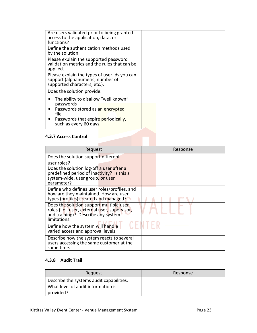| Are users validated prior to being granted<br>access to the application, data, or<br>functions?                  |  |
|------------------------------------------------------------------------------------------------------------------|--|
| Define the authentication methods used<br>by the solution.                                                       |  |
| Please explain the supported password<br>validation metrics and the rules that can be<br>applied.                |  |
| Please explain the types of user Ids you can<br>support (alphanumeric, number of<br>supported characters, etc.). |  |
| Does the solution provide:                                                                                       |  |
| The ability to disallow "well known"                                                                             |  |
| passwords<br>Passwords stored as an encrypted<br>file.                                                           |  |
| Passwords that expire periodically,<br>such as every 60 days.                                                    |  |

# **4.3.7 Access Control**

| Request                                                                                                                                        | Response |
|------------------------------------------------------------------------------------------------------------------------------------------------|----------|
| Does the solution support different                                                                                                            |          |
| user roles?                                                                                                                                    |          |
| Does the solution log-off a user after a<br>predefined period of inactivity? Is this a<br>system-wide, user group, or user<br>parameter?       |          |
| Define who defines user roles/profiles, and<br>how are they maintained. How are user<br>types (profiles) created and managed?                  |          |
| Does the solution support multiple user<br>roles (i.e., user, external user, supervisor,<br>and training)? Describe any system<br>limitations. |          |
| Define how the system will handle<br>varied access and approval levels.                                                                        |          |
| Describe how the system reacts to several<br>users accessing the same customer at the<br>same time.                                            |          |

# **4.3.8 Audit Trail**

| Request                                                                        | Response |
|--------------------------------------------------------------------------------|----------|
| Describe the systems audit capabilities.<br>What level of audit information is |          |
| provided?                                                                      |          |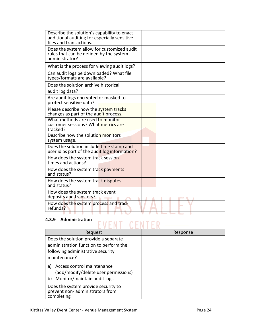| Describe the solution's capability to enact<br>additional auditing for especially sensitive<br>files and transactions. |  |
|------------------------------------------------------------------------------------------------------------------------|--|
| Does the system allow for customized audit<br>rules that can be defined by the system<br>administrator?                |  |
| What is the process for viewing audit logs?                                                                            |  |
| Can audit logs be downloaded? What file<br>types/formats are available?                                                |  |
| Does the solution archive historical<br>audit log data?                                                                |  |
| Are audit logs encrypted or masked to<br>protect sensitive data?                                                       |  |
| Please describe how the system tracks<br>changes as part of the audit process.                                         |  |
| What methods are used to monitor<br>customer sessions? What metrics are<br>tracked?                                    |  |
| Describe how the solution monitors<br>system usage.                                                                    |  |
| Does the solution include time stamp and<br>user id as part of the audit log information?                              |  |
| How does the system track session<br>times and actions?                                                                |  |
| How does the system track payments<br>and status?                                                                      |  |
| How does the system track disputes<br>and status?                                                                      |  |
| How does the system track event<br>deposits and transfers?                                                             |  |
| How does the system process and track<br>refunds?                                                                      |  |

# **4.3.9 Administration**

# CENT FR

| Request                                                                                                                             | Response |
|-------------------------------------------------------------------------------------------------------------------------------------|----------|
| Does the solution provide a separate<br>administration function to perform the<br>following administrative security<br>maintenance? |          |
| Access control maintenance<br>a)<br>(add/modify/delete user permissions)<br>Monitor/maintain audit logs<br>b)                       |          |
| Does the system provide security to<br>prevent non- administrators from<br>completing                                               |          |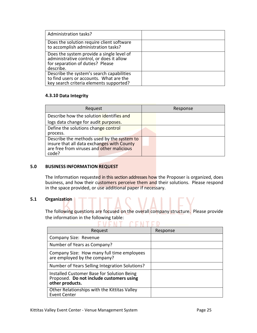| Administration tasks?                                                                                                                  |  |
|----------------------------------------------------------------------------------------------------------------------------------------|--|
| Does the solution require client software<br>to accomplish administration tasks?                                                       |  |
| Does the system provide a single level of<br>administrative control, or does it allow<br>for separation of duties? Please<br>describe. |  |
| Describe the system's search capabilities<br>to find users or accounts. What are the<br>key search criteria elements supported?        |  |

# **4.3.10 Data Integrity**

| Request                                                                                  | Response |
|------------------------------------------------------------------------------------------|----------|
| Describe how the solution identifies and                                                 |          |
| logs data change for audit purposes.                                                     |          |
| Define the solutions change control                                                      |          |
| process.                                                                                 |          |
| Describe the methods used by the system to<br>insure that all data exchanges with County |          |
| are free from viruses and other malicious<br>code?                                       |          |

### **5.0 BUSINESS INFORMATION REQUEST**

The Information requested in this section addresses how the Proposer is organized, does business, and how their customers perceive them and their solutions. Please respond in the space provided, or use additional paper if necessary.

# **5.1 Organization**

The following questions are focused on the overall company structure. Please provide the information in the following table:<br> $\begin{array}{cc}\n\bullet & \bullet & \bullet \\
\hline\n\bullet & \bullet & \bullet\n\end{array}$ 

| Request                                                                                                   | Response |
|-----------------------------------------------------------------------------------------------------------|----------|
| Company Size: Revenue                                                                                     |          |
| Number of Years as Company?                                                                               |          |
| Company Size: How many full time employees<br>are employed by the company?                                |          |
| Number of Years Selling Integration Solutions?                                                            |          |
| Installed Customer Base for Solution Being<br>Proposed. Do not include customers using<br>other products. |          |
| Other Relationships with the Kittitas Valley<br><b>Event Center</b>                                       |          |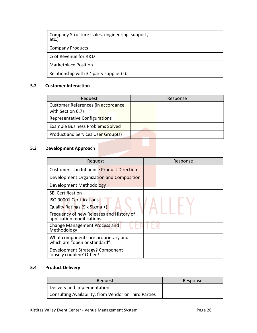| Company Structure (sales, engineering, support,<br>etc.) |  |
|----------------------------------------------------------|--|
| <b>Company Products</b>                                  |  |
| % of Revenue for R&D                                     |  |
| <b>Marketplace Position</b>                              |  |
| Relationship with $3^{rd}$ party supplier(s).            |  |

# **5.2 Customer Interaction**

| Request                                                 | Response |  |
|---------------------------------------------------------|----------|--|
| Customer References (in accordance<br>with Section 6.7) |          |  |
| Representative Configurations                           |          |  |
| Example Business Problems Solved                        |          |  |
| Product and Services User Group(s)                      |          |  |

# **5.3 Development Approach**

| Request                                                                | Response |
|------------------------------------------------------------------------|----------|
| <b>Customers can Influence Product Direction</b>                       |          |
| Development Organization and Composition                               |          |
| Development Methodology                                                |          |
| <b>SEI Certification</b>                                               |          |
| <b>ISO 90001 Certifications</b>                                        |          |
| Quality Ratings (Six Sigma +)                                          |          |
| Frequency of new Releases and History of<br>application modifications. |          |
| Change Management Process and<br>Methodology                           |          |
| What components are proprietary and<br>which are "open or standard".   |          |
| Development Strategy? Component<br>loosely coupled? Other?             |          |

# **5.4 Product Delivery**

| Request                                               | Response |
|-------------------------------------------------------|----------|
| Delivery and Implementation                           |          |
| Consulting Availability, from Vendor or Third Parties |          |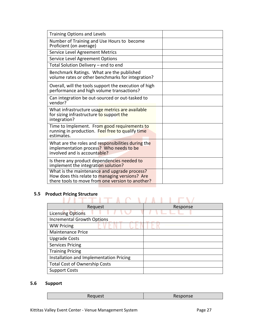| <b>Training Options and Levels</b>                                                                                                                 |  |
|----------------------------------------------------------------------------------------------------------------------------------------------------|--|
| Number of Training and Use Hours to become<br>Proficient (on average)                                                                              |  |
| Service Level Agreement Metrics                                                                                                                    |  |
| Service Level Agreement Options                                                                                                                    |  |
| Total Solution Delivery - end to end                                                                                                               |  |
| Benchmark Ratings. What are the published<br>volume rates or other benchmarks for integration?                                                     |  |
| Overall, will the tools support the execution of high<br>performance and high volume transactions?                                                 |  |
| Can integration be out-sourced or out-tasked to<br>vendor?                                                                                         |  |
| What infrastructure usage metrics are available<br>for sizing infrastructure to support the<br>integration?                                        |  |
| Time to Implement. From good requirements to<br>running in production. Feel free to qualify time<br>estimates.                                     |  |
| What are the roles and responsibilities during the<br>implementation process? Who needs to be<br>involved and is accountable?                      |  |
| Is there any product dependencies needed to<br>implement the integration solution?                                                                 |  |
| What is the maintenance and upgrade process?<br>How does this relate to managing versions? Are<br>there tools to move from one version to another? |  |

# **5.5 Product Pricing Structure**

| היייי ייש                               |          |
|-----------------------------------------|----------|
| Request                                 | Response |
| <b>Licensing Options</b>                |          |
| <b>Incremental Growth Options</b>       |          |
| <b>WW Pricing</b>                       |          |
| <b>Maintenance Price</b>                |          |
| <b>Upgrade Costs</b>                    |          |
| <b>Services Pricing</b>                 |          |
| <b>Training Pricing</b>                 |          |
| Installation and Implementation Pricing |          |
| <b>Total Cost of Ownership Costs</b>    |          |
| <b>Support Costs</b>                    |          |

**State of the State State** 

# **5.6 Support**

| <b>ULLONOITS</b> |
|------------------|
|                  |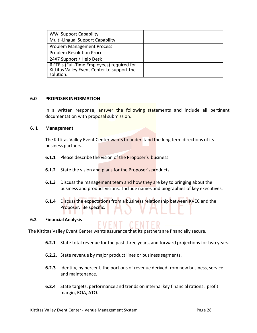| <b>WW Support Capability</b>                                                                           |  |
|--------------------------------------------------------------------------------------------------------|--|
| <b>Multi-Lingual Support Capability</b>                                                                |  |
| <b>Problem Management Process</b>                                                                      |  |
| <b>Problem Resolution Process</b>                                                                      |  |
| 24X7 Support / Help Desk                                                                               |  |
| # FTE's (Full-Time Employees) required for<br>Kittitas Valley Event Center to support the<br>solution. |  |

#### **6.0 PROPOSER INFORMATION**

In a written response, answer the following statements and include all pertinent documentation with proposal submission.

#### **6. 1 Management**

The Kittitas Valley Event Center wants to understand the long term directions of its business partners.

- **6.1.1** Please describe the vision of the Proposer's business.
- **6.1.2** State the vision and plans for the Proposer's products.
- **6.1.3** Discuss the management team and how they are key to bringing about the business and product visions. Include names and biographies of key executives.
- **6.1.4** Discuss the expectations from a business relationship between KVEC and the Proposer. Be specific.

#### **6.2 Financial Analysis**

The Kittitas Valley Event Center wants assurance that its partners are financially secure.

- **6.2.1** State total revenue for the past three years, and forward projections for two years.
- **6.2.2.** State revenue by major product lines or business segments.
- **6.2.3** Identify, by percent, the portions of revenue derived from new business, service and maintenance.
- **6.2.4** State targets, performance and trends on internal key financial rations: profit margin, ROA, ATO.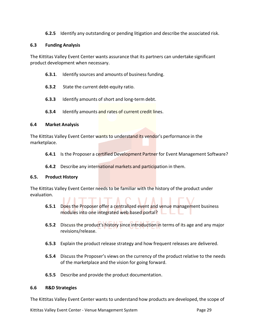**6.2.5** Identify any outstanding or pending litigation and describe the associated risk.

# **6.3 Funding Analysis**

The Kittitas Valley Event Center wants assurance that its partners can undertake significant product development when necessary.

- **6.3.1**. Identify sources and amounts of businessfunding.
- **6.3.2** State the current debt-equity ratio.
- **6.3.3** Identify amounts of short and long-term debt.
- **6.3.4** Identify amounts and rates of current credit lines.

# **6.4 Market Analysis**

The Kittitas Valley Event Center wants to understand its vendor's performance in the marketplace.

- **6.4.1** Is the Proposer a certified Development Partner for Event Management Software?
- **6.4.2** Describe any international markets and participation in them.

# **6.5. Product History**

The Kittitas Valley Event Center needs to be familiar with the history of the product under evaluation.

- **6.5.1** Does the Proposer offer a centralized event and venue management business modules into one integrated web based portal?
- **6.5.2** Discuss the product's history since introduction in terms of its age and any major revisions/release.
- **6.5.3** Explain the product release strategy and how frequent releases are delivered.
- **6.5.4** Discuss the Proposer's views on the currency of the product relative to the needs of the marketplace and the vision for going forward.
- **6.5.5** Describe and provide the product documentation.

# **6.6 R&D Strategies**

The Kittitas Valley Event Center wants to understand how products are developed, the scope of

Kittitas Valley Event Center - Venue Management System **Page 29** Page 29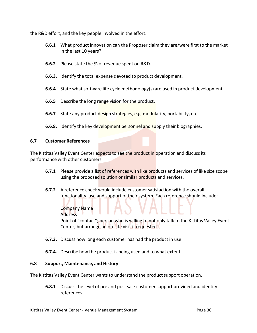the R&D effort, and the key people involved in the effort.

- **6.6.1** What product innovation can the Proposer claim they are/were first to the market in the last 10 years?
- **6.6.2** Please state the % of revenue spent on R&D.
- **6.6.3.** Identify the total expense devoted to product development.
- **6.6.4** State what software life cycle methodology(s) are used in product development.
- **6.6.5** Describe the long range vision for the product.
- **6.6.7** State any product design strategies, e.g. modularity, portability, etc.
- **6.6.8.** Identify the key development personnel and supply their biographies.

### **6.7 Customer References**

The Kittitas Valley Event Center expects to see the product in operation and discuss its performance with other customers.

- **6.7.1** Please provide a list of references with like products and services of like size scope using the proposed solution or similar products and services.
- **6.7.2** A reference check would include customersatisfaction with the overall functionality, use and support of their system. Each reference should include:

Company Name Address Point of "contact"; person who is willing to not only talk to the Kittitas Valley Event Center, but arrange an on-site visit if requested

- **6.7.3.** Discuss how long each customer has had the product in use.
- **6.7.4.** Describe how the product is being used and to what extent.

### **6.8 Support, Maintenance, and History**

The Kittitas Valley Event Center wants to understand the product support operation.

**6.8.1** Discuss the level of pre and post sale customer support provided and identify references.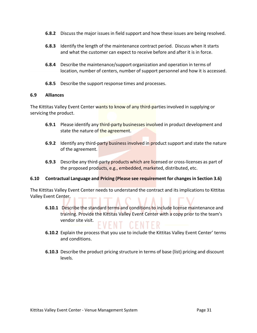- **6.8.2** Discuss the major issues in field support and how these issues are being resolved.
- **6.8.3** Identify the length of the maintenance contract period. Discuss when it starts and what the customer can expect to receive before and after it is in force.
- **6.8.4** Describe the maintenance/support organization and operation in terms of location, number of centers, number of support personnel and how it is accessed.
- **6.8.5** Describe the support response times and processes.

### **6.9 Alliances**

The Kittitas Valley Event Center wants to know of any third-partiesinvolved in supplying or servicing the product.

- **6.9.1** Please identify any third-party businesses involved in product development and state the nature of the agreement.
- **6.9.2** Identify any third-party business involved in product support and state the nature of the agreement.
- **6.9.3** Describe any third-party products which are licensed or cross-licenses as part of the proposed products, e.g., embedded, marketed, distributed, etc.

### **6.10 Contractual Language and Pricing (Please see requirement for changesin Section 3.6)**

The Kittitas Valley Event Center needs to understand the contract and its implicationsto Kittitas Valley Event Center.

- **6.10.1** Describe the standard terms and conditions to include license maintenance and training. Provide the Kittitas Valley Event Center with a copy prior to the team's vendor site visit.
- **6.10.2** Explain the process that you use to include the Kittitas Valley Event Center' terms and conditions.
- **6.10.3** Describe the product pricing structure in terms of base (list) pricing and discount levels.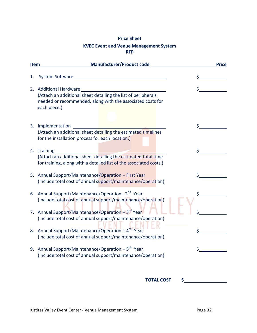# **Price Sheet KVEC Event and Venue Management System RFP**

| <b>Item</b> | <b>Manufacturer/Product code</b>                                                                                                                                          | <b>Price</b> |
|-------------|---------------------------------------------------------------------------------------------------------------------------------------------------------------------------|--------------|
| 1.          |                                                                                                                                                                           | \$           |
| 2.          | <b>Additional Hardware</b><br>(Attach an additional sheet detailing the list of peripherals<br>needed or recommended, along with the associated costs for<br>each piece.) |              |
|             | 3. Implementation<br>(Attach an additional sheet detailing the estimated timelines<br>for the installation process for each location.)                                    |              |
|             | 4. Training<br>(Attach an additional sheet detailing the estimated total time<br>for training, along with a detailed list of the associated costs.)                       |              |
|             | 5. Annual Support/Maintenance/Operation - First Year<br>(Include total cost of annual support/maintenance/operation)                                                      |              |
|             | 6. Annual Support/Maintenance/Operation-2 <sup>nd</sup> Year<br>(Include total cost of annual support/maintenance/operation)                                              |              |
|             | 7. Annual Support/Maintenance/Operation - 3rd Year<br>(Include total cost of annual support/maintenance/operation)                                                        |              |
|             | 8. Annual Support/Maintenance/Operation - 4 <sup>th</sup> Year<br>(Include total cost of annual support/maintenance/operation)                                            |              |
|             | 9. Annual Support/Maintenance/Operation $-5^{th}$ Year<br>(Include total cost of annual support/maintenance/operation)                                                    |              |
|             | <b>TOTAL COST</b><br>\$                                                                                                                                                   |              |